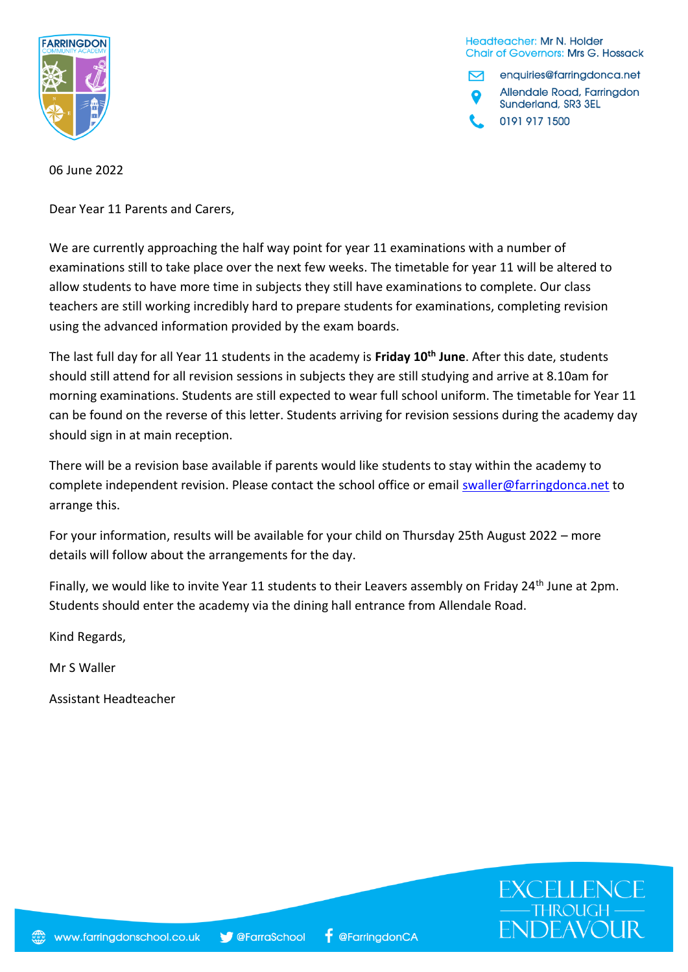

Headteacher: Mr N. Holder **Chair of Governors: Mrs G. Hossack** 

enquiries@farringdonca.net 罓 Allendale Road, Farringdon Sunderland, SR3 3EL 0191 917 1500

06 June 2022

Dear Year 11 Parents and Carers,

We are currently approaching the half way point for year 11 examinations with a number of examinations still to take place over the next few weeks. The timetable for year 11 will be altered to allow students to have more time in subjects they still have examinations to complete. Our class teachers are still working incredibly hard to prepare students for examinations, completing revision using the advanced information provided by the exam boards.

The last full day for all Year 11 students in the academy is **Friday 10th June**. After this date, students should still attend for all revision sessions in subjects they are still studying and arrive at 8.10am for morning examinations. Students are still expected to wear full school uniform. The timetable for Year 11 can be found on the reverse of this letter. Students arriving for revision sessions during the academy day should sign in at main reception.

There will be a revision base available if parents would like students to stay within the academy to complete independent revision. Please contact the school office or email [swaller@farringdonca.net](mailto:swaller@farringdonca.net) to arrange this.

For your information, results will be available for your child on Thursday 25th August 2022 – more details will follow about the arrangements for the day.

Finally, we would like to invite Year 11 students to their Leavers assembly on Friday 24<sup>th</sup> June at 2pm. Students should enter the academy via the dining hall entrance from Allendale Road.

Kind Regards,

Mr S Waller

Assistant Headteacher